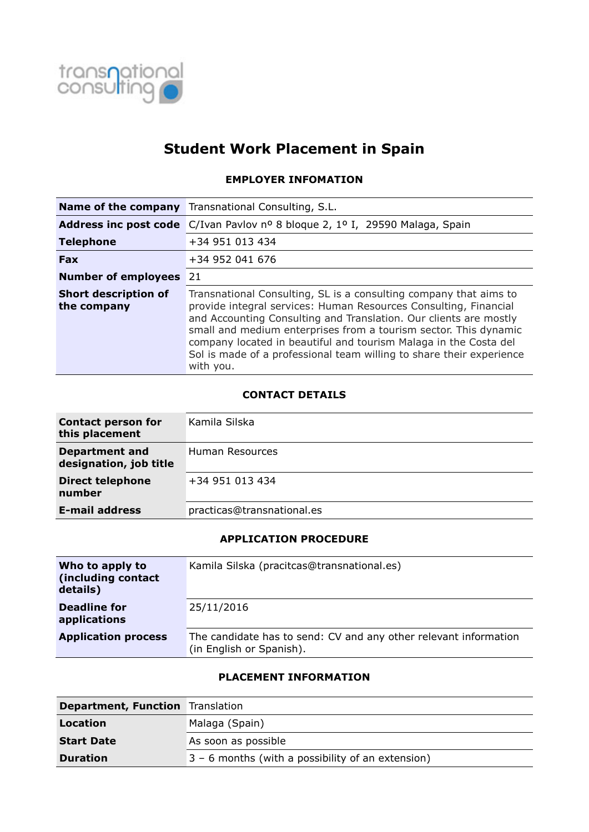

# **Student Work Placement in Spain**

## **EMPLOYER INFOMATION**

|                                            | <b>Name of the company</b> Transnational Consulting, S.L.                                                                                                                                                                                                                                                                                                                                                                               |
|--------------------------------------------|-----------------------------------------------------------------------------------------------------------------------------------------------------------------------------------------------------------------------------------------------------------------------------------------------------------------------------------------------------------------------------------------------------------------------------------------|
|                                            | Address inc post code C/Ivan Pavlov nº 8 bloque 2, 1º I, 29590 Malaga, Spain                                                                                                                                                                                                                                                                                                                                                            |
| <b>Telephone</b>                           | +34 951 013 434                                                                                                                                                                                                                                                                                                                                                                                                                         |
| <b>Fax</b>                                 | +34 952 041 676                                                                                                                                                                                                                                                                                                                                                                                                                         |
| <b>Number of employees</b>                 | 21                                                                                                                                                                                                                                                                                                                                                                                                                                      |
| <b>Short description of</b><br>the company | Transnational Consulting, SL is a consulting company that aims to<br>provide integral services: Human Resources Consulting, Financial<br>and Accounting Consulting and Translation. Our clients are mostly<br>small and medium enterprises from a tourism sector. This dynamic<br>company located in beautiful and tourism Malaga in the Costa del<br>Sol is made of a professional team willing to share their experience<br>with you. |

## **CONTACT DETAILS**

| <b>Contact person for</b><br>this placement     | Kamila Silska              |
|-------------------------------------------------|----------------------------|
| <b>Department and</b><br>designation, job title | Human Resources            |
| <b>Direct telephone</b><br>number               | +34 951 013 434            |
| <b>E-mail address</b>                           | practicas@transnational.es |

### **APPLICATION PROCEDURE**

| Who to apply to<br>(including contact<br>details) | Kamila Silska (pracitcas@transnational.es)                                                   |
|---------------------------------------------------|----------------------------------------------------------------------------------------------|
| <b>Deadline for</b><br>applications               | 25/11/2016                                                                                   |
| <b>Application process</b>                        | The candidate has to send: CV and any other relevant information<br>(in English or Spanish). |

### **PLACEMENT INFORMATION**

| <b>Department, Function</b> Translation |                                                     |
|-----------------------------------------|-----------------------------------------------------|
| Location                                | Malaga (Spain)                                      |
| <b>Start Date</b>                       | As soon as possible                                 |
| <b>Duration</b>                         | $3 - 6$ months (with a possibility of an extension) |